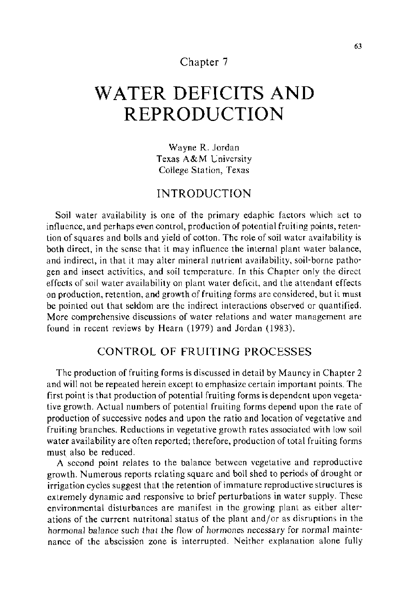# Chapter 7

# **WATER DEFICITS AND REPRODUCTION**

Wayne R. Jordan Texas A&M University College Station, Texas

## INTRODUCTION

Soil water availability is one of the primary edaphic factors which act to influence, and perhaps even control, production of potential fruiting points, retention of squares and bolls and yield of cotton. The role of soil water availability is both direct, in the sense that it may influence the internal plant water balance, and indirect, in that it may alter mineral nutrient availability, soil-borne pathogen and insect activities, and soil temperature. In this Chapter only the direct effects of soil water availability on plant water deficit, and the attendant effects on production, retention, and growth of fruiting forms are considered, but it must be pointed out that seldom are the indirect interactions observed or quantified. More comprehensive discussions of water relations and water management are found in recent reviews by Hearn (1979) and Jordan (1983).

### CONTROL OF FRUITING PROCESSES

The production of fruiting forms is discussed in detail by Mauney in Chapter 2 and will not be repeated herein except to emphasize certain important points. The first point is that production of potential fruiting forms is dependent upon vegetative growth. Actual numbers of potential fruiting forms depend upon the rate of production of successive nodes and upon the ratio and location of vegetative and fruiting branches. Reductions in vegetative growth rates associated with low soil water availability are often reported; therefore, production of total fruiting forms must. also be reduced.

A second point relates to the balance between vegetative and reproductive growth. Numerous reports relating square and boll shed to periods of drought or irrigation cycles suggest that the retention of immature reproductive structures is extremely dynamic and responsive to brief perturbations in water supply. These environmental disturbances are manifest in the growing plant as either alterations of the current nutritonal status of the plant and/or as disruptions in the hormonal balance such that the flow of hormones necessary for normal maintenance of the abscission zone is interrupted. Neither explanation alone fully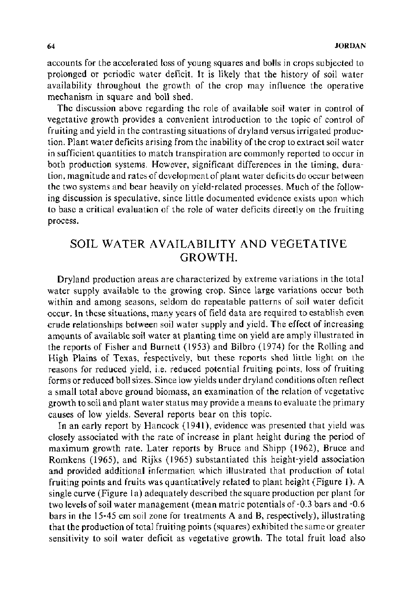accounts for the accelerated loss of young squares and bolls in crops subjected to prolonged or periodic water deficit. It is likely that the history of soil water availability throughout the growth of the crop may influence the operative mechanism in square and boll shed.

The discussion above regarding the role of available soil water in control of vegetative growth provides a convenient introduction to the topic of control of fruiting and yield in the contrasting situations of dry land versus irrigated production. Plant water deficits arising from the inability of the crop to extract soil water in sufficient quantities to match transpiration are commonly reported to occur in both production systems. However, significant differences in the timing, duration, magnitude and rates of development of plant water deficits do occur between the two systems and bear heavily on yield-related processes. Much of the following discussion is speculative, since little documented evidence exists upon which to base a critical evaluation of the role of water deficits directly on the fruiting process.

# SOIL WATER AVAILABILITY AND VEGETATIVE GROWTH.

Dryland production areas are characterized by extreme variations in the total water supply available to the growing crop. Since large variations occur both within and among seasons, seldom do repeatable patterns of soil water deficit occur. In these situations, many years of field data are required to establish even crude relationships between soil water supply and yield. The effect of increasing amounts of available soil water at planting time on yield are amply illustrated in the reports of Fisher and Burnett (1953) and Bilbro (1974) for the Rolling and High Plains of Texas, respectively, but these reports shed little light on the reasons for reduced yield, i.e. reduced potential fruiting points, loss of fruiting forms or reduced boll sizes. Since low yields under dry land conditions often reflect a small total above ground biomass, an examination of the relation of vegetative growth to soil and plant water status may provide a means to evaluate the primary causes of low yields. Several reports bear on this topic.

In an early report by Hancock (1941), evidence was presented that yield was closely associated with the rate of increase in plant height during the period of maximum growth rate. Later reports by Bruce and Shipp (1962), Bruce and Romkens (1965), and Rijks (1965) substantiated this height-yield association and provided additional information which illustrated that production of total fruiting points and fruits was quantitatively related to plant height (Figure 1). A single curve (Figure 1a) adequately described the square production per plant for two levels of soil water management (mean matric potentials of -0.3 bars and -0.6 bars in the 15-45 em soil zone for treatments A and B, respectively), illustrating that the production of total fruiting points (squares) exhibited the same or greater sensitivity to soil water deficit as vegetative growth. The total fruit load also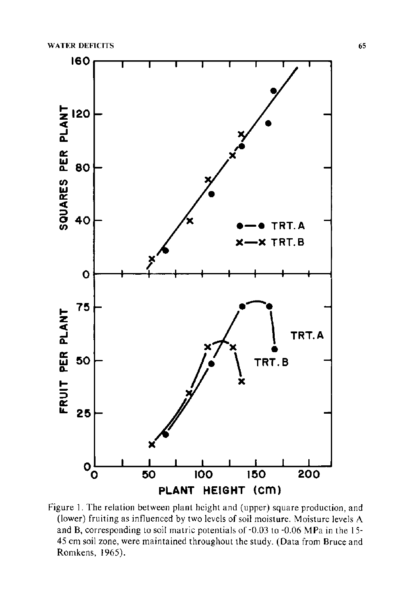

Figure 1. The relation between plant height and (upper) square production, and (lower) fruiting as influenced by two levels of soil moisture. Moisture levels A and B, corresponding to soil matric potentials of -0.03 to -0.06 MPa in the 15- 45 em soil zone, were maintained throughout the study. (Data from Bruce and Romkens, 1965).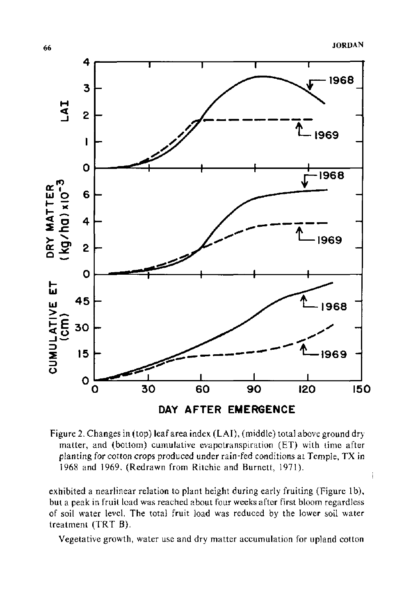

Figure 2. Changes in (top) leaf area index (LAI), (middle) total above ground dry matter, and (bottom) cumulative evapotranspiration (ET) with time after planting for cotton crops produced under rain-fed conditions at Temple, TX in 1968 and 1969. (Redrawn from Ritchie and Burnett, 1971).

exhibited a nearlinear relation to plant height during early fruiting (Figure 1b), but a peak in fruit load was reached about four weeks after first bloom regardless of soil water level. The total fruit load was reduced by the lower soil water treatment  $(TRT B)$ .

Vegetative growth, water use and dry matter accumulation for upland cotton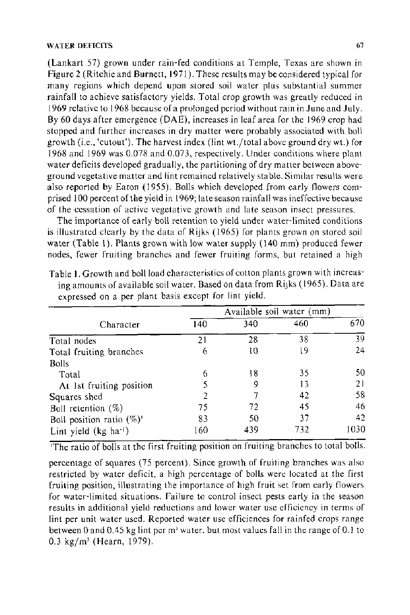#### WATER DEFICITS 67

(Lankart 57) grown under rain-fed conditions at Temple, Texas are shown in Figure 2 (Ritchie and Burnett, 1971). These results may be considered typical for many regions which depend upon stored soil water plus substantial summer rainfall to achieve satisfactory yields. Total crop growth was greatly reduced in 1969 relative to 1968 because of a prolonged period without rain in June and July. By 60 days after emergence (DAE), increases in leaf area for the 1969 crop had stopped and further increases in dry matter were probably associated with boll growth (i.e., 'cutout'). The harvest index (lint wt./total above ground dry wt.) for 1968 and 1969 was 0.078 and 0.073, respectively. Under conditions where plant water deficits developed gradually, the partitioning of dry matter between aboveground vegetative matter and lint remained relatively stable. Similar results were also reported by Eaton (1955). Bolls which developed from early flowers comprised 100 percent of the yield in 1969; late season rainfall was ineffective because of the cessation of active vegetative growth and late season insect pressures.

The importance of early boll retention to yield under water-limited conditions is illustrated clearly by the data of Rijks ( 1965) for plants grown on stored soil water (Table 1). Plants grown with low water supply  $(140 \text{ mm})$  produced fewer nodes, fewer fruiting branches and fewer fruiting forms, but retained a high

| Character                            | Available soil water (mm) |     |     |      |
|--------------------------------------|---------------------------|-----|-----|------|
|                                      | 140                       | 340 | 460 | 670  |
| Total nodes                          | 21                        | 28  | 38  | 39   |
| Total fruiting branches              | 6                         | 10  | 19  | 24   |
| <b>Bolls</b>                         |                           |     |     |      |
| Total                                | 6                         | 18  | 35  | 50.  |
| At 1st fruiting position             | 5                         | 9   | 13  | 21   |
| Squares shed                         | 2                         |     | 42  | 58   |
| Boll retention $(\%)$                | 75                        | 72  | 45  | 46   |
| Boll position ratio $(\%)^{\dagger}$ | 83                        | 50  | 37  | 42   |
| Lint yield (kg ha <sup>-1</sup> )    | 160                       | 439 | 732 | 1030 |

Table 1. Growth and boll load characteristics of cotton plants grown with increasing amounts of available soil water. Based on data from Rijks (1965). Data are expressed on a per plant basis except for lint yield.

'The ratio of bolls at the first fruiting position on fruiting branches to total bolls.

percentage of squares (75 percent). Since growth of fruiting branches was also restricted by water deficit, a high percentage of bolls were located at the first fruiting position, illustrating the importance of high fruit set from early flowers for water-limited situations. Failure to control insect pests early in the season results in additional yield reductions and lower water use efficiency in terms of lint per unit water used. Reported water use efficiences for rainfed crops range between 0 and 0.45 kg lint per m<sup>3</sup> water, but most values fall in the range of 0.1 to 0.3 kg/m' (Hearn, 1979).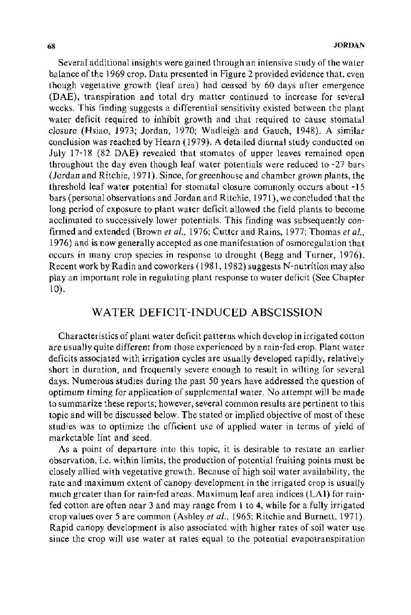Several additional insights were gained through an intensive study of the water balance of the 1969 crop. Data presented in Figure 2 provided evidence that, even though vegetative growth (leaf area) had ceased by 60 days after emergence (DAE), transpiration and total dry matter continued to increase for several weeks. This finding suggests a differential sensitivity existed between the plant water deficit required to inhibit growth and that required to cause stomatal closure (Hsiao, 1973; Jordan, 1970; Wadleigh and Gauch, 1948). A similar conclusion was reached by Hearn (1979). A detailed diurnal study conducted on July 17-18 (82 DAE) revealed that stomates of upper leaves remained open throughout the day even though leaf water potentials were reduced to -27 bars (Jordan and Ritchie, 1971). Since, for greenhouse and chamber grown plants, the threshold leaf water potential for stomatal closure commonly occurs about -15 bars (personal observations and Jordan and Ritchie, 1971 ), we concluded that the long period of exposure to plant water deficit allowed the field plants to become acclimated to successively lower potentials. This finding was subsequently confirmed and extended (Brown *et al.,* 1976; Cutter and Rains, 1977; Thomas *et al.,*  1976) and is now generally accepted as one manifestation of osmoregulation that occurs in many crop species in response to drought ( Begg and Turner, 1976). Recent work by Radin and coworkers (1981, 1982) suggests N-nutrition may also play an important role in regulating plant response to water deficit (See Chapter 10).

## WATER DEFICIT-INDUCED ABSCISSION

Characteristics of plant water deficit patterns which develop in irrigated cotton are usually quite different from those experienced by a rain-fed crop. Plant water deficits associated with irrigation cycles are usually developed rapidly, relatively short in duration, and frequently severe enough to result in wilting for several days. Numerous studies during the past 50 years have addressed the question of optimum timing for application of supplemental water. No attempt will be made to summarize these reports; however, several common results are pertinent to this topic and will be discussed below. The stated or implied objective of most of these studies was to optimize the efficient use of applied water in terms of yield of marketable lint and seed.

As a point of departure into this topic, it is desirable to restate an earlier observation, i.e. within limits, the production of potential fruiting points must be closely allied with vegetative growth. Because of high soil water availability, the rate and maximum extent of canopy development in the irrigated crop is usually much greater than for rain-fed areas. Maximum leaf area indices (LAI) for rainfed cotton are often near 3 and may range from 1 to 4, while for a fully irrigated crop values over 5 are common (Ashley *et a/.,* 1965; Ritchie and Burnett, 1971 ). Rapid canopy development is also associated with higher rates of soil water use since the crop will use water at rates equal to the potential evapotranspiration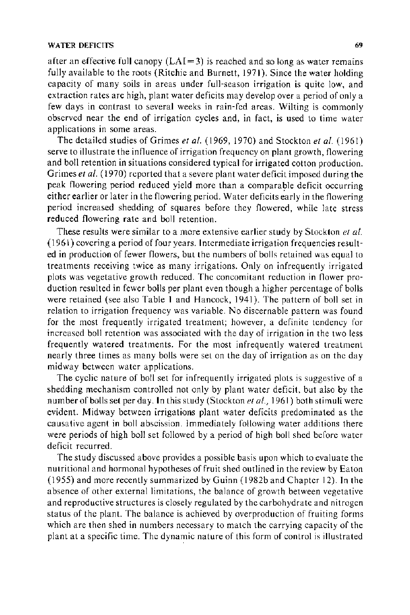#### WATER DEFICITS 69

after an effective full canopy  $(LAI = 3)$  is reached and so long as water remains fully available to the roots (Ritchie and Burnett, 1971). Since the water holding capacity of many soils in areas under full-season irrigation is quite low, and extraction rates are high, plant water deficits may develop over a period of only a few days in contrast to several weeks in rain-fed areas. Wilting is commonly observed near the end of irrigation cycles and, in fact, is used to time water applications in some areas.

The detailed studies of Grimes *eta/.* (1969, 1970) and Stockton *eta!.* (1961) serve to illustrate the influence of irrigation frequency on plant growth, flowering and boll retention in situations considered typical for irrigated cotton production. Grimes et al. (1970) reported that a severe plant water deficit imposed during the peak flowering period reduced yield more than a comparable deficit occurring either earlier or later in the flowering period. Water deficits early in the flowering period increased shedding of squares before they flowered, while late stress reduced flowering rate and boll retention.

These results were similar to a more extensive earlier study by Stockton *et at.*  ( 1961) covering a period of four years. Intermediate irrigation frequencies resulted in production of fewer flowers, but the numbers of bolls retained was equal to treatments receiving twice as many irrigations. Only on infrequently irrigated plots was vegetative growth reduced. The concomitant reduction in flower production resulted in fewer bolls per plant even though a higher percentage of bolls were retained (see also Table 1 and Hancock, 1941). The pattern of boll set in relation to irrigation frequency was variable. No discernable pattern was found for the most frequently irrigated treatment; however, a definite tendency for increased boll retention was associated with the day of irrigation in the two less frequently watered treatments. For the most infrequently watered treatment nearly three times as many bolls were set on the day of irrigation as on the day midway between water applications.

The cyclic nature of boll set for infrequently irrigated plots is suggestive of a shedding mechanism controlled not only by plant water deficit, but also by the number of bolls set per day. In this study (Stockton *eta!.,* 1961) both stimuli were evident. Midway between irrigations plant water deficits predominated as the causative agent in boll abscission. Immediately following water additions there were periods of high boll set followed by a period of high boll shed before water deficit recurred.

The study discussed above provides a possible basis upon which to evaluate the nutritional and hormonal hypotheses of fruit shed outlined in the review by Eaton (1955) and more recently summarized by Guinn (1982b and Chapter 12). In the absence of other external limitations, the balance of growth between vegetative and reproductive structures is closely regulated by the carbohydrate and nitrogen status of the plant. The balance is achieved by overproduction of fruiting forms which are then shed in numbers necessary to match the carrying capacity of the plant at a specific time. The dynamic nature of this form of control is illustrated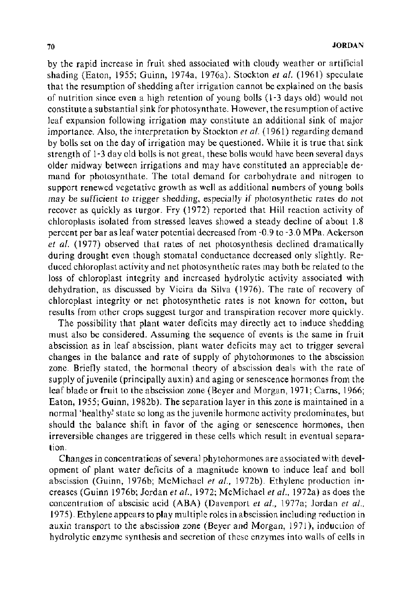by the rapid increase in fruit shed associated with cloudy weather or artificial shading (Eaton, 1955; Guinn, 1974a, 1976a). Stockton *eta/.* (1961) speculate that the resumption of shedding after irrigation cannot be explained on the basis of nutrition since even a high retention of young bolls ( 1-3 days old) would not constitute a substantial sink for photosynthate. However, the resumption of active leaf expansion following irrigation may constitute an additional sink of major importance. Also, the interpretation by Stockton *et al.* (1961) regarding demand by bolls set on the day of irrigation may be questioned. While it is true that sink strength of 1-3 day old bolls is not great, these bolls would have been several days older midway between irrigations and may have constituted an appreciable demand for photosynthate. The total demand for carbohydrate and nitrogen to support renewed vegetative growth as well as additional numbers of young bolls may be sufficient to trigger shedding, especially if photosynthetic rates do not recover as quickly as turgor. Fry (1972) reported that Hill reaction activity of chloroplasts isolated from stressed leaves showed a steady decline of about 1.8 percent per bar as leaf water potential decreased from -0.9 to- 3.0 MPa. Ackerson *et a!.* (1977) observed that rates of net photosynthesis declined dramatically during drought even though stomatal conductance decreased only slightly. Reduced chloroplast activity and net photosynthetic rates may both be related to the loss of chloroplast integrity and increased hydrolytic activity associated with dehydration, as discussed by Vieira da Silva (1976). The rate of recovery of chloroplast integrity or net photosynthetic rates is not known for cotton, but results from other crops suggest turgor and transpiration recover more quickly.

The possibility that plant water deficits may directly act to induce shedding must also be considered. Assuming the sequence of events is the same in fruit abscission as in leaf abscission, plant water deficits may act to trigger several changes in the balance and rate of supply of phytohormones to the abscission zone. Briefly stated, the hormonal theory of abscission deals with the rate of supply of juvenile (principally auxin) and aging or senescence hormones from the leaf blade or fruit to the abscission zone (Beyer and Morgan, 1971; Carns, 1966; Eaton, 1955; Guinn, 1982b). The separation layer in this zone is maintained in a normal 'healthy' state so long as the juvenile hormone activity predominates, but should the balance shift in favor of the aging or senescence hormones, then irreversible changes are triggered in these cells which result in eventual separation.

Changes in concentrations of several phytohormones are associated with development of plant water deficits of a magnitude known to induce leaf and boll abscission (Guinn, 1976b; McMichael *et a/.,* 1972b). Ethylene production increases (Guinn 1976b; Jordan *et al.,* 1972; McMichael *eta/.,* 1972a) as does the concentration of abscisic acid (ABA) (Davenport *et al.,* 1977a; Jordan *et al.,*  1975). Ethylene appears to play multiple roles in abscission including reduction in auxin transport to the abscission zone (Beyer and Morgan, 1971 ), induction of hydrolytic enzyme synthesis and secretion of these enzymes into walls of cells in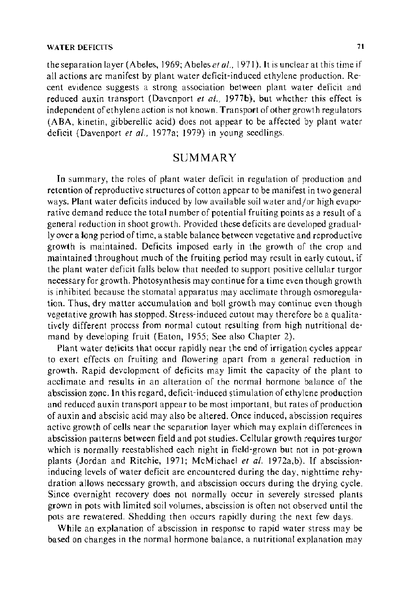the separation layer (Abeles, 1969; Abeles *et al.,* 1971). It is unclear at this time if all actions are manifest by plant water deficit-induced ethylene production. Recent evidence suggests a strong association between plant water deficit and reduced auxin transport (Davenport *et a/.,* 1977b), but whether this effect is independent of ethylene action is not known. Transport of other growth regulators (ABA, kinetin, gibberellic acid) does not appear to be affected by plant water deficit (Davenport *et a/.,* 1977a; 1979) in young seedlings.

### SUMMARY

In summary, the roles of plant water deficit in regulation of production and retention of reproductive structures of cotton appear to be manifest in two general ways. Plant water deficits induced by low available soil water and/or high evaporative demand reduce the total number of potential fruiting points as a result of a general reduction in shoot growth. Provided these deficits are developed gradually over a long period of time, a stable balance between vegetative and reproductive growth is maintained. Deficits imposed early in the growth of the crop and maintained throughout much of the fruiting period may result in early cutout, if the plant water deficit falls below that needed to support positive cellular turgor necessary for growth. Photosynthesis may continue for a time even though growth is inhibited because the stomatal apparatus may acclimate through osmoregulation. Thus, dry matter accumulation and boll growth may continue even though vegetative growth has stopped. Stress-induced cutout may therefore be a qualitatively different process from normal cutout resulting from high nutritional demand by developing fruit (Eaton, 1955; See also Chapter 2).

Plant water deficits that occur rapidly near the end of irrigation cycles appear to exert effects on fruiting and flowering apart from a general reduction in growth. Rapid development of deficits may limit the capacity of the plant to acclimate and results in an alteration of the normal hormone balance of the abscission zone. In this regard, deficit-induced stimulation of ethylene production and reduced auxin transport appear to be most important, but rates of production of auxin and abscisic acid may also be altered. Once induced, abscission requires active growth of cells near the separation layer which may explain differences in abscission patterns between field and pot studies. Cellular growth requires turgor which is normally reestablished each night in field-grown but not in pot-grown plants (Jordan and Ritchie, 1971; McMichael et al. 1972a,b). If abscissioninducing levels of water deficit are encountered during the day, nighttime rehydration allows necessary growth, and abscission occurs during the drying cycle. Since overnight recovery does not normally occur in severely stressed plants grown in pots with limited soil volumes, abscission is often not observed until the pots are rewatered. Shedding then occurs rapidly during the next few days.

While an explanation of abscission in response to rapid water stress may be based on changes in the normal hormone balance, a nutritional explanation may